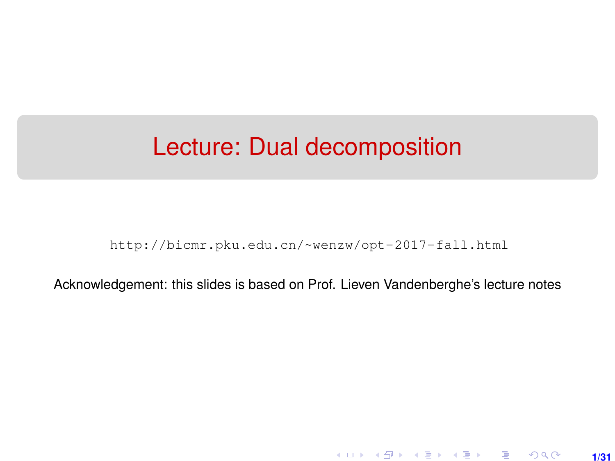## <span id="page-0-0"></span>Lecture: Dual decomposition

[http://bicmr.pku.edu.cn/~wenzw/opt-2017-fall.html](http://bicmr.pku.edu.cn/~wenzw/opt-2017-fall.html )

Acknowledgement: this slides is based on Prof. Lieven Vandenberghe's lecture notes

**1/31**

K ロ ▶ K 레 ▶ K 호 ▶ K 호 ▶ → 호 → 900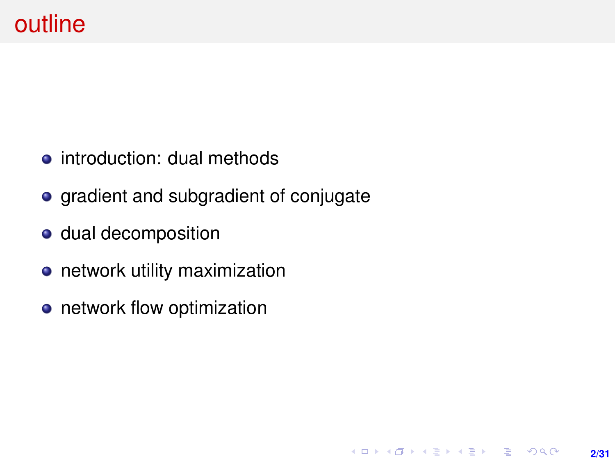- introduction: dual methods
- gradient and subgradient of conjugate

**2/31**

**KOD KAD KED KED E YOUR** 

- **o** dual decomposition
- network utility maximization
- **•** network flow optimization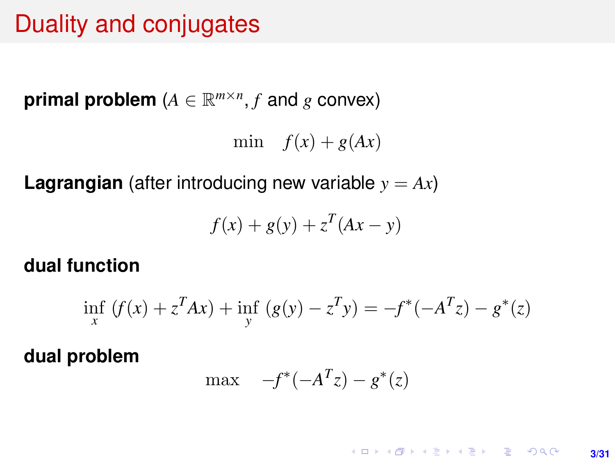### Duality and conjugates

**primal problem** ( $A \in \mathbb{R}^{m \times n}$ ,  $f$  and  $g$  convex)

min  $f(x) + g(Ax)$ 

**Lagrangian** (after introducing new variable  $y = Ax$ )

$$
f(x) + g(y) + z^T (Ax - y)
$$

#### **dual function**

$$
\inf_{x} (f(x) + z^{T}Ax) + \inf_{y} (g(y) - z^{T}y) = -f^{*}(-A^{T}z) - g^{*}(z)
$$

**dual problem**

$$
\max \quad -f^*(-A^Tz) - g^*(z)
$$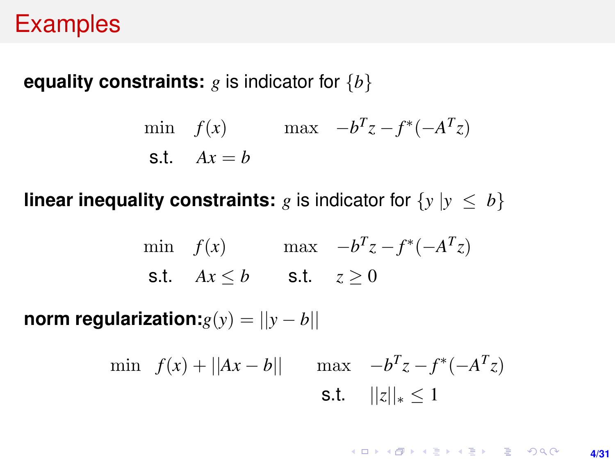### **Examples**

#### **equality constraints:**  $g$  is indicator for  $\{b\}$

$$
\begin{array}{ll}\n\text{min} & f(x) \\
\text{s.t.} & Ax = b\n\end{array} \quad \text{max} \quad -b^T z - f^*(-A^T z)
$$

**linear inequality constraints:** *g* is indicator for  $\{y | y \leq b\}$ 

$$
\min f(x) \qquad \max \quad -b^T z - f^*(-A^T z)
$$
\n
$$
\text{s.t.} \quad Ax \leq b \qquad \text{s.t.} \quad z \geq 0
$$

**norm regularization:***g*(*y*) =  $||y - b||$ 

min 
$$
f(x) + ||Ax - b||
$$
 max  $-bTz - f*(-ATz)$   
s.t.  $||z||_* \le 1$ 

**KORKAPRA EX KEY EL YOUN 4/31**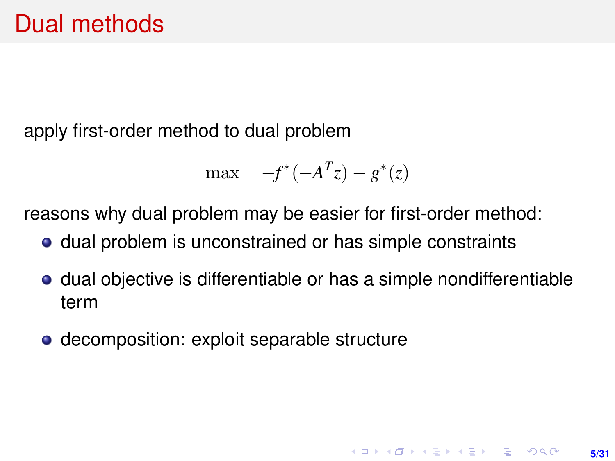apply first-order method to dual problem

$$
\max \quad -f^*(-A^Tz) - g^*(z)
$$

reasons why dual problem may be easier for first-order method:

- dual problem is unconstrained or has simple constraints
- **•** dual objective is differentiable or has a simple nondifferentiable term
- decomposition: exploit separable structure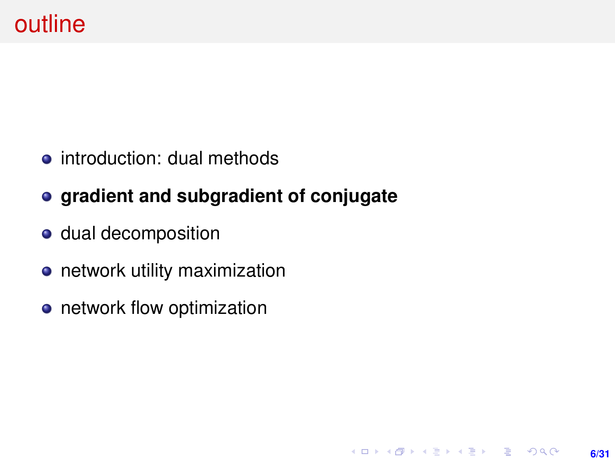- introduction: dual methods
- **gradient and subgradient of conjugate**

**6/31**

**KOD KAD KED KED E YOUR** 

- **o** dual decomposition
- network utility maximization
- **o** network flow optimization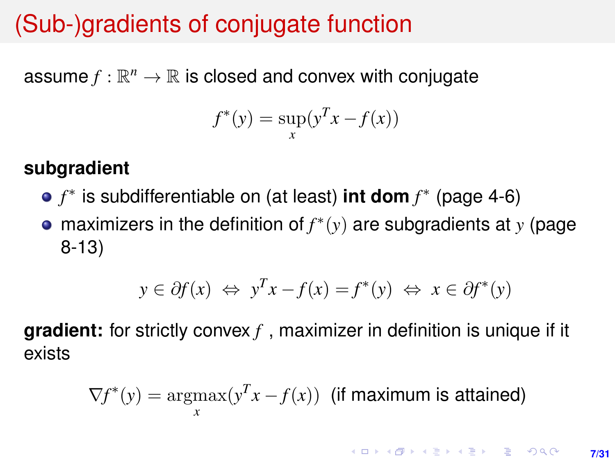# (Sub-)gradients of conjugate function

assume  $f : \mathbb{R}^n \to \mathbb{R}$  is closed and convex with conjugate

$$
f^*(y) = \sup_x (y^T x - f(x))
$$

#### **subgradient**

- *f* ∗ is subdifferentiable on (at least) **int dom** *f* ∗ (page 4-6)
- maximizers in the definition of  $f^*(y)$  are subgradients at  $y$  (page 8-13)

$$
y \in \partial f(x) \iff y^T x - f(x) = f^*(y) \iff x \in \partial f^*(y)
$$

**gradient:** for strictly convex *f* , maximizer in definition is unique if it exists

$$
\nabla f^*(y) = \underset{x}{\operatorname{argmax}}(y^T x - f(x))
$$
 (if maximum is attained)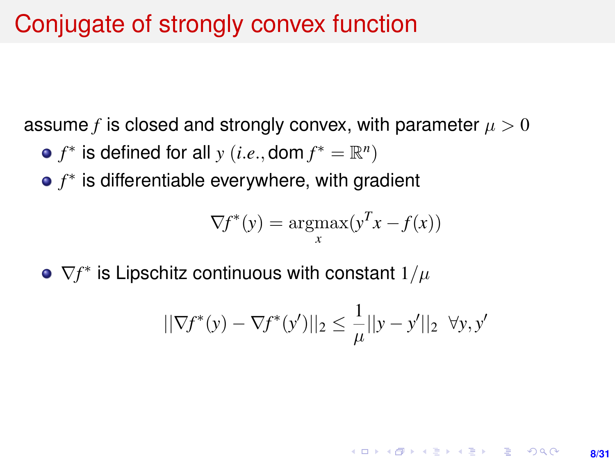### Conjugate of strongly convex function

assume *f* is closed and strongly convex, with parameter  $\mu > 0$ 

- $f^*$  is defined for all  $y$  (*i.e.*, dom  $f^* = \mathbb{R}^n$ )
- *f* ∗ is differentiable everywhere, with gradient

$$
\nabla f^*(y) = \underset{x}{\operatorname{argmax}}(y^T x - f(x))
$$

 $\nabla f^*$  is Lipschitz continuous with constant  $1/\mu$ 

$$
||\nabla f^*(y) - \nabla f^*(y')||_2 \le \frac{1}{\mu} ||y - y'||_2 \ \forall y, y'
$$

**8/31**

**KORKARK (EXIST) E MOOR**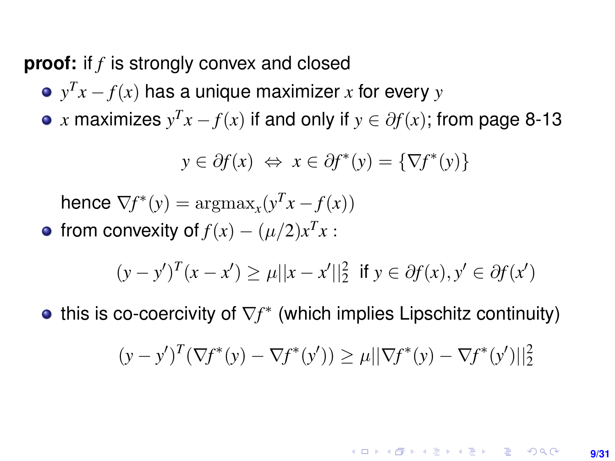**proof:** if *f* is strongly convex and closed

- *y T x* − *f*(*x*) has a unique maximizer *x* for every *y*
- $x$  maximizes  $y^Tx f(x)$  if and only if  $y \in \partial f(x)$ ; from page 8-13

$$
y \in \partial f(x) \iff x \in \partial f^*(y) = \{\nabla f^*(y)\}
$$

hence  $\nabla f^*(y) = \operatorname{argmax}_x(y^T x - f(x))$ 

from convexity of  $f(x) - (\mu/2)x^T x$ :

$$
(y - y')T(x - x') \ge \mu ||x - x'||_2^2 \text{ if } y \in \partial f(x), y' \in \partial f(x')
$$

this is co-coercivity of  $\nabla f^*$  (which implies Lipschitz continuity)

$$
(y - y')^{T} (\nabla f^{*}(y) - \nabla f^{*}(y')) \ge \mu ||\nabla f^{*}(y) - \nabla f^{*}(y')||_{2}^{2}
$$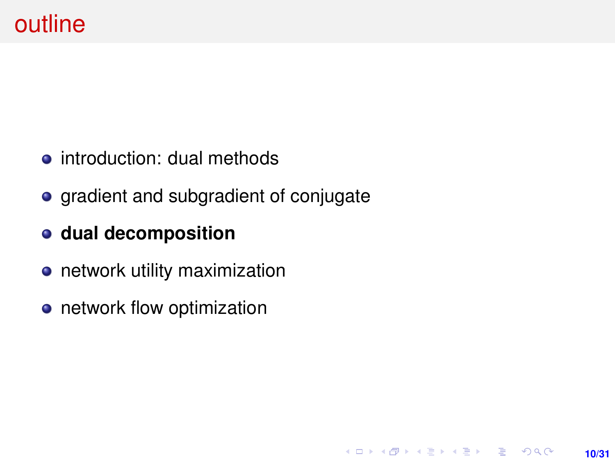- introduction: dual methods
- gradient and subgradient of conjugate

**10/31**

**KORKARK KERKER DRAM** 

### **dual decomposition**

- network utility maximization
- **•** network flow optimization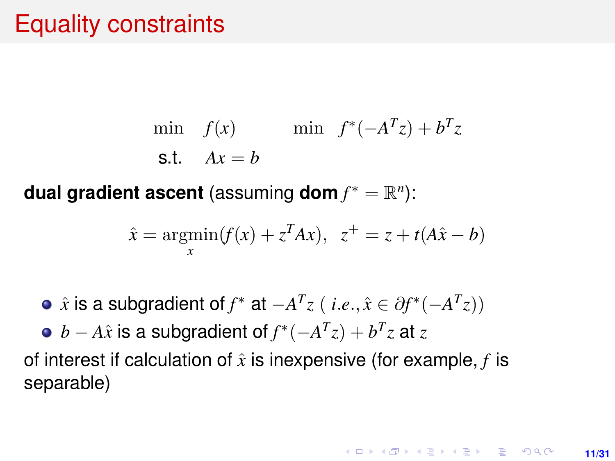### Equality constraints

$$
\begin{aligned}\n\min \quad & f(x) & \min \quad & f^*(-A^Tz) + b^Tz \\
\text{s.t.} \quad & Ax = b\n\end{aligned}
$$

**dual gradient ascent** (assuming **dom**  $f^* = \mathbb{R}^n$ ):

$$
\hat{x} = \underset{x}{\text{argmin}}(f(x) + z^T A x), \ \ z^+ = z + t(A\hat{x} - b)
$$

 $\hat{x}$  is a subgradient of  $f^*$  at  $-A^T z$  (  $i.e., \hat{x} \in \partial f^*(-A^T z)$ )

 $b - A\hat{x}$  is a subgradient of  $f^*(-A^Tz) + b^Tz$  at  $z$ of interest if calculation of  $\hat{x}$  is inexpensive (for example,  $f$  is separable)

> **KORKARK KERKER DRAM 11/31**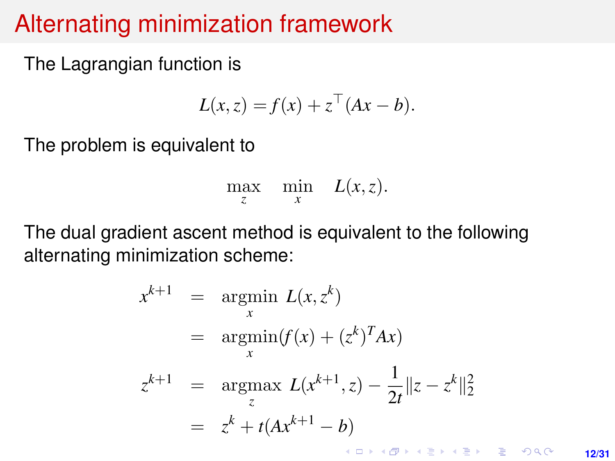# Alternating minimization framework

The Lagrangian function is

$$
L(x, z) = f(x) + z^{\top} (Ax - b).
$$

The problem is equivalent to

$$
\max_{z} \min_{x} L(x, z).
$$

The dual gradient ascent method is equivalent to the following alternating minimization scheme:

$$
x^{k+1} = \underset{x}{\operatorname{argmin}} L(x, z^k)
$$
  
= 
$$
\underset{x}{\operatorname{argmin}} (f(x) + (z^k)^T A x)
$$
  

$$
z^{k+1} = \underset{z}{\operatorname{argmax}} L(x^{k+1}, z) - \frac{1}{2t} ||z - z^k||_2^2
$$
  
= 
$$
z^k + t(Ax^{k+1} - b)
$$

**12/31**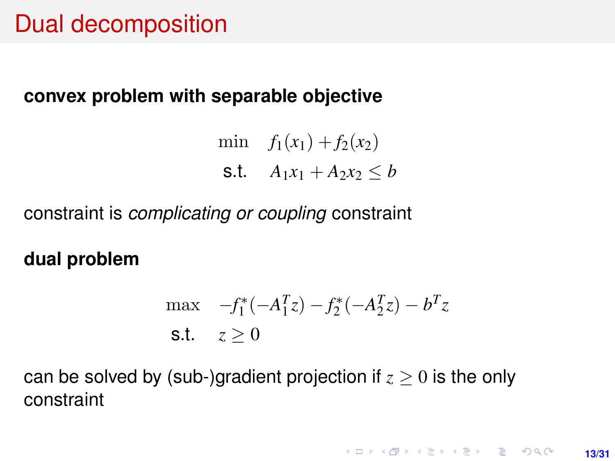## Dual decomposition

#### **convex problem with separable objective**

min  $f_1(x_1) + f_2(x_2)$ s.t.  $A_1x_1 + A_2x_2 \leq b$ 

constraint is *complicating or coupling* constraint

#### **dual problem**

$$
\begin{aligned}\n\max \quad &-f_1^*(-A_1^Tz) - f_2^*(-A_2^Tz) - b^Tz \\
\text{s.t.} \quad & z \ge 0\n\end{aligned}
$$

can be solved by (sub-)gradient projection if  $z \geq 0$  is the only constraint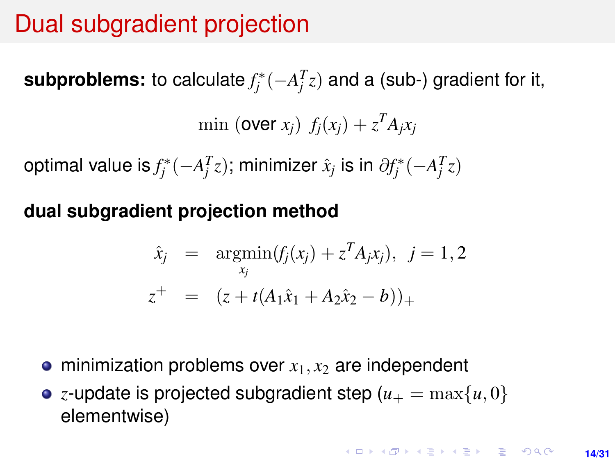### Dual subgradient projection

 ${\sf subproblems:}$  to calculate  $f^*_j(-A_j^Tz)$  and a (sub-) gradient for it,

min (over  $x_j$ )  $f_j(x_j) + z^T A_j x_j$ 

optimal value is  $f_j^*(-A_j^Tz)$ ; minimizer  $\hat{x}_j$  is in  $\partial f_j^*(-A_j^Tz)$ 

#### **dual subgradient projection method**

$$
\hat{x}_j = \operatorname*{argmin}_{x_j} (f_j(x_j) + z^T A_j x_j), \ j = 1, 2
$$
\n
$$
z^+ = (z + t(A_1 \hat{x}_1 + A_2 \hat{x}_2 - b))_+
$$

- $\bullet$  minimization problems over  $x_1, x_2$  are independent
- *z*-update is projected subgradient step  $(u_{+} = \max\{u, 0\})$ elementwise)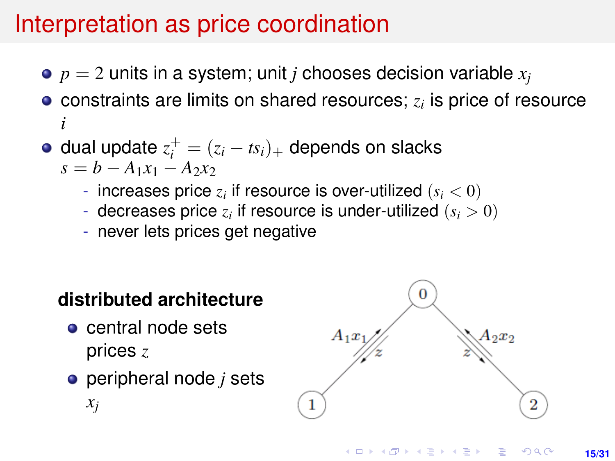# Interpretation as price coordination

- $\bullet$   $p = 2$  units in a system; unit *j* chooses decision variable  $x_i$
- constraints are limits on shared resources; *z<sup>i</sup>* is price of resource *i*
- dual update  $z_i^+ = (z_i ts_i)_+$  depends on slacks  $s = b - A_1 x_1 - A_2 x_2$ 
	- increases price  $z_i$  if resource is over-utilized  $(s_i < 0)$
	- decreases price  $z_i$  if resource is under-utilized  $(s_i > 0)$
	- never lets prices get negative

#### **distributed architecture**

- **o** central node sets prices *z*
- peripheral node *j* sets *xj*



**K ロ ▶ K 伺 ▶ K ヨ ▶ K ヨ ▶ │ ヨ** 

 $2QQ$ **15/31**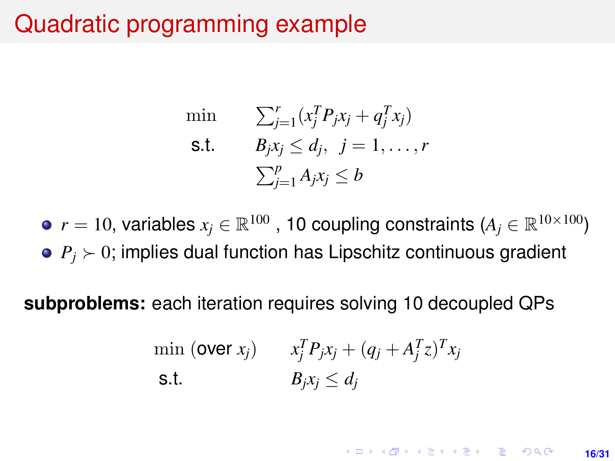### Quadratic programming example

$$
\begin{aligned}\n\min \qquad & \sum_{j=1}^{r} (x_j^T P_j x_j + q_j^T x_j) \\
\text{s.t.} \qquad & B_j x_j \leq d_j, \ \ j = 1, \dots, r \\
& \sum_{j=1}^{p} A_j x_j \leq b\n\end{aligned}
$$

 $r=10$ , variables  $x_j \in \mathbb{R}^{100}$  , 10 coupling constraints ( $A_j \in \mathbb{R}^{10 \times 100})$  $P_i$   $>$  0; implies dual function has Lipschitz continuous gradient

**subproblems:** each iteration requires solving 10 decoupled QPs

$$
\begin{aligned}\n\min (\text{over } x_j) & x_j^T P_j x_j + (q_j + A_j^T z)^T x_j \\
\text{s.t.} & B_j x_j \leq d_j\n\end{aligned}
$$

**KORKARK A BIK BIKA A GA A GA A GA A BIKA A BIKA A BIKA A BIKA A BIKA A BIKA A BIKA A BIKA A BIKA A BIKA A BIKA 16/31**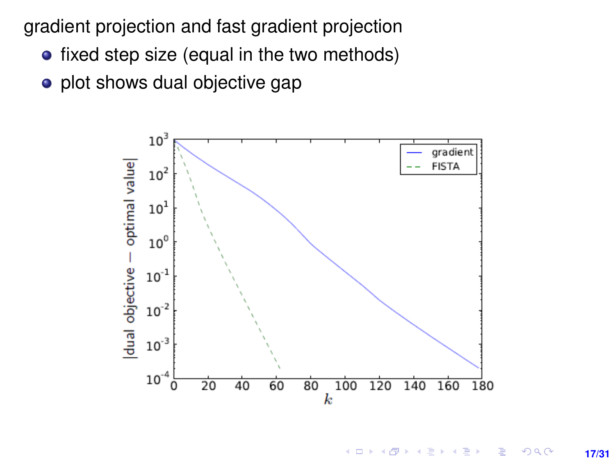gradient projection and fast gradient projection

- fixed step size (equal in the two methods)
- plot shows dual objective gap

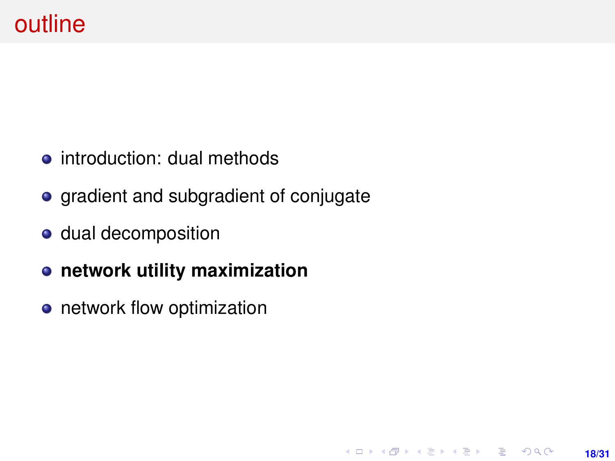- introduction: dual methods
- gradient and subgradient of conjugate

**18/31**

**KORKARK KERKER DRAM** 

- **o** dual decomposition
- **network utility maximization**
- **•** network flow optimization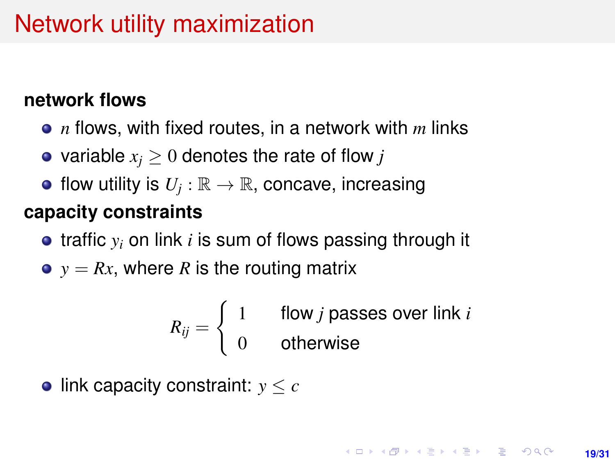# Network utility maximization

#### **network flows**

- *n* flows, with fixed routes, in a network with *m* links
- variable  $x_i \geq 0$  denotes the rate of flow *j*
- flow utility is  $U_j: \mathbb{R} \to \mathbb{R}$ , concave, increasing

#### **capacity constraints**

- $\bullet$  traffic  $y_i$  on link *i* is sum of flows passing through it
- $y = Rx$ , where *R* is the routing matrix

$$
R_{ij} = \begin{cases} 1 & \text{flow } j \text{ passes over link } i \\ 0 & \text{otherwise} \end{cases}
$$

 $\bullet$  link capacity constraint:  $y < c$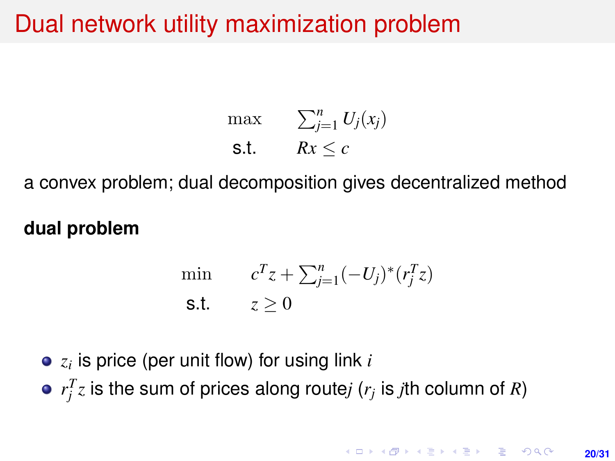## Dual network utility maximization problem

max  $\sum_{j=1}^n U_j(x_j)$ s.t.  $Rx \leq c$ 

a convex problem; dual decomposition gives decentralized method

#### **dual problem**

$$
\min \t c^T z + \sum_{j=1}^n (-U_j)^*(r_j^T z)
$$
  
s.t.  $z \ge 0$ 

- *zi* is price (per unit flow) for using link *i*
- $r_j^T z$  is the sum of prices along route*j (r<sub>j</sub>* is *j*th column of *R*)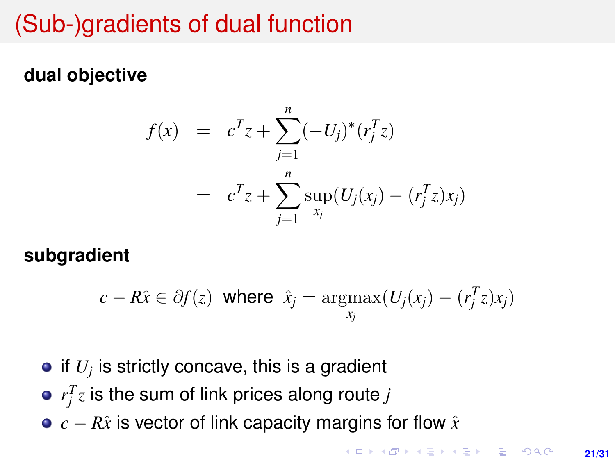# (Sub-)gradients of dual function

### **dual objective**

$$
f(x) = c^{T}z + \sum_{j=1}^{n} (-U_{j})^{*}(r_{j}^{T}z)
$$
  
=  $c^{T}z + \sum_{j=1}^{n} \sup_{x_{j}} (U_{j}(x_{j}) - (r_{j}^{T}z)x_{j})$ 

#### **subgradient**

$$
c - R\hat{x} \in \partial f(z) \text{ where } \hat{x}_j = \underset{x_j}{\operatorname{argmax}} (U_j(x_j) - (r_j^T z)x_j)
$$

- if *U<sup>j</sup>* is strictly concave, this is a gradient
- $r_j^T z$  is the sum of link prices along route  $j$
- *c* − *R*ˆ*x* is vector of link capacity margins for flow ˆ*x*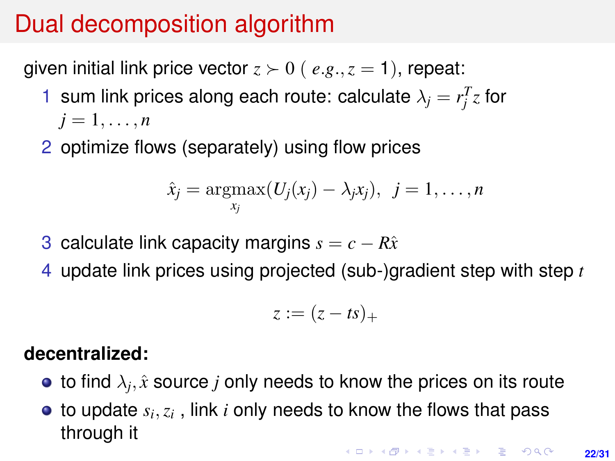# Dual decomposition algorithm

given initial link price vector  $z > 0$  (  $e.g., z = 1$ ), repeat:

- 1 sum link prices along each route: calculate  $\lambda_j = r_j^T z$  for  $j=1,\ldots,n$
- 2 optimize flows (separately) using flow prices

$$
\hat{x}_j = \operatorname*{argmax}_{x_j} (U_j(x_j) - \lambda_j x_j), \ \ j = 1, \ldots, n
$$

- 3 calculate link capacity margins  $s = c R\hat{x}$
- 4 update link prices using projected (sub-)gradient step with step *t*

$$
z := (z - ts)_+
$$

#### **decentralized:**

- to find  $\lambda_j, \hat{x}$  source  $j$  only needs to know the prices on its route
- to update  $s_i, z_i$  , link  $i$  only needs to know the flows that pass through it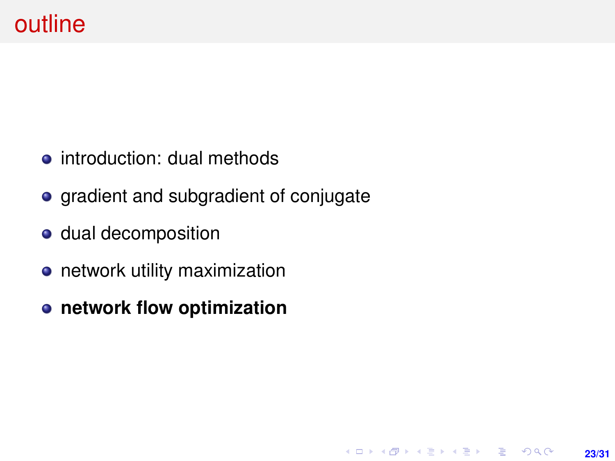- introduction: dual methods
- gradient and subgradient of conjugate

**23/31**

**KORKARK KERKER DRAM** 

- o dual decomposition
- network utility maximization
- **network flow optimization**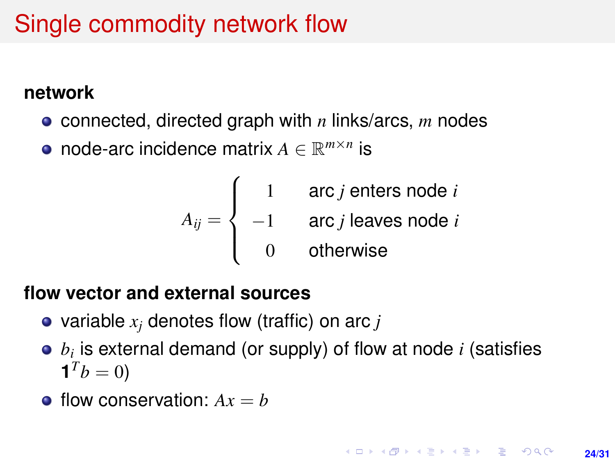# <span id="page-23-0"></span>Single commodity network flow

#### **network**

- connected, directed graph with *n* links/arcs, *m* nodes
- node-arc incidence matrix  $A \in \mathbb{R}^{m \times n}$  is

$$
A_{ij} = \begin{cases} 1 & \text{arc } j \text{ enters node } i \\ -1 & \text{arc } j \text{ leaves node } i \\ 0 & \text{otherwise} \end{cases}
$$

#### **flow vector and external sources**

- variable *x<sup>j</sup>* denotes flow (traffic) on arc *j*
- $\mathit{b}_{i}$  is external demand (or supply) of flow at node  $\mathit{i}$  (satisfies  $$
- $\bullet$  flow conservation:  $Ax = b$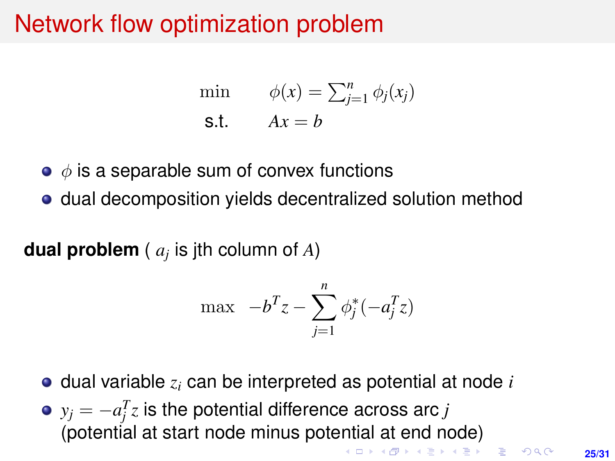# <span id="page-24-0"></span>Network flow optimization problem

$$
\begin{aligned}\n\min \qquad & \phi(x) = \sum_{j=1}^{n} \phi_j(x_j) \\
\text{s.t.} \qquad & Ax = b\n\end{aligned}
$$

- $\bullet$   $\phi$  is a separable sum of convex functions
- dual decomposition yields decentralized solution method

**dual problem** (  $a_j$  is jth column of  $A$ )

$$
\max \ -b^T z - \sum_{j=1}^n \phi_j^*(-a_j^T z)
$$

- dual variable *z<sup>i</sup>* can be interpreted as potential at node *i*
- $y_j = -a_j^T z$  is the potential difference across arc *j* (pot[ent](#page-23-0)i[al](#page-25-0) [a](#page-23-0)[t](#page-24-0) start nod[e](#page-25-0) minus potential at e[nd](#page-0-0) [n](#page-30-0)[od](#page-0-0)[e\)](#page-30-0)<br> $\frac{1}{2}$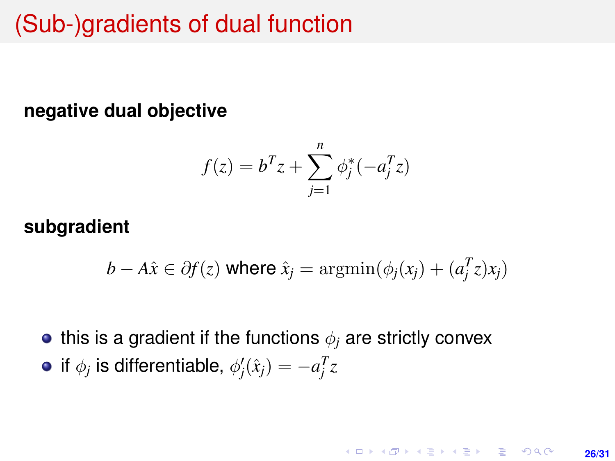### <span id="page-25-0"></span>(Sub-)gradients of dual function

#### **negative dual objective**

$$
f(z) = b^{T} z + \sum_{j=1}^{n} \phi_{j}^{*} (-a_{j}^{T} z)
$$

#### **subgradient**

$$
b - A\hat{x} \in \partial f(z) \text{ where } \hat{x}_j = \operatorname{argmin}(\phi_j(x_j) + (a_j^T z)x_j)
$$

**26/31**

**KORKARK KERKER DRAM** 

**•** this is a gradient if the functions  $\phi_i$  are strictly convex if  $\phi_j$  is differentiable,  $\phi'_j(\hat{x}_j) = -a_j^T z_j$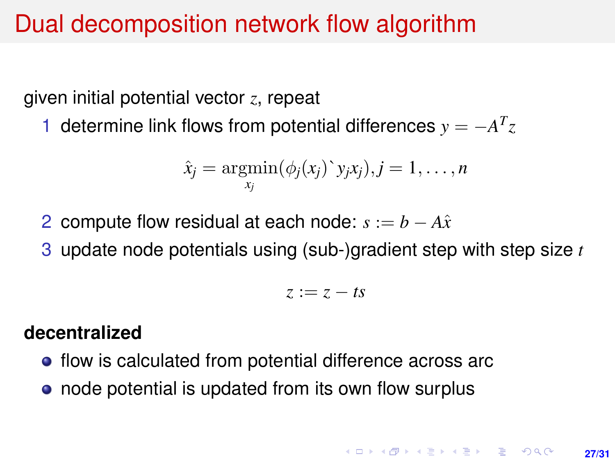## Dual decomposition network flow algorithm

given initial potential vector *z*, repeat

1 determine link flows from potential differences  $y = -A<sup>T</sup>z$ 

$$
\hat{x}_j = \operatorname*{argmin}_{x_j} (\phi_j(x_j)^\cdot y_j x_j), j = 1, \ldots, n
$$

- 2 compute flow residual at each node:  $s := b A\hat{x}$
- 3 update node potentials using (sub-)gradient step with step size *t*

$$
z:=z-ts
$$

#### **decentralized**

- flow is calculated from potential difference across arc
- node potential is updated from its own flow surplus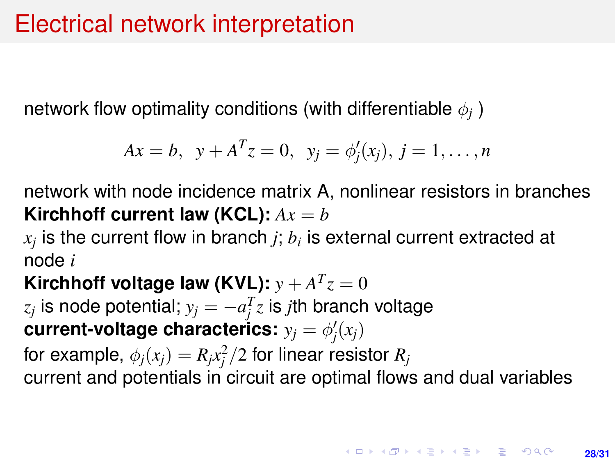# Electrical network interpretation

network flow optimality conditions (with differentiable  $\phi_i$ )

$$
Ax = b
$$
,  $y + ATz = 0$ ,  $y_j = \phi'_j(x_j)$ ,  $j = 1, ..., n$ 

network with node incidence matrix A, nonlinear resistors in branches **Kirchhoff current law (KCL):** *Ax* = *b*

 $x_j$  is the current flow in branch *j*;  $b_i$  is external current extracted at node *i*

Kirchhoff voltage law (KVL):  $y + A^T z = 0$ 

 $z_j$  is node potential;  $y_j = -a_j^T z$  is *j*th branch voltage  $\textbf{current-voltage characterics: } y_j = \phi_j'(x_j)$ 

for example,  $\phi_j(x_j) = R_j x_j^2/2$  for linear resistor  $R_j$ 

current and potentials in circuit are optimal flows and dual variables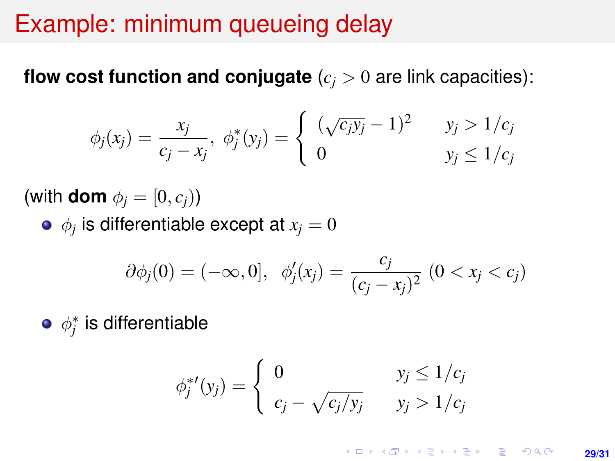### Example: minimum queueing delay

**flow cost function and conjugate**  $(c_i > 0$  are link capacities):

$$
\phi_j(x_j) = \frac{x_j}{c_j - x_j}, \ \phi_j^*(y_j) = \begin{cases}\n(\sqrt{c_j y_j} - 1)^2 & y_j > 1/c_j \\
0 & y_j \le 1/c_j\n\end{cases}
$$

(with **dom**  $\phi_i = [0, c_i)$ )

 $\phi_j$  is differentiable except at  $x_j=0$ 

$$
\partial \phi_j(0) = (-\infty, 0], \quad \phi'_j(x_j) = \frac{c_j}{(c_j - x_j)^2} \ (0 < x_j < c_j)
$$

 $\phi_j^*$  is differentiable

$$
\phi_j^{*'}(y_j) = \begin{cases} 0 & y_j \leq 1/c_j \\ c_j - \sqrt{c_j/y_j} & y_j > 1/c_j \end{cases}
$$

**KORKARK KERKER DRAM 29/31**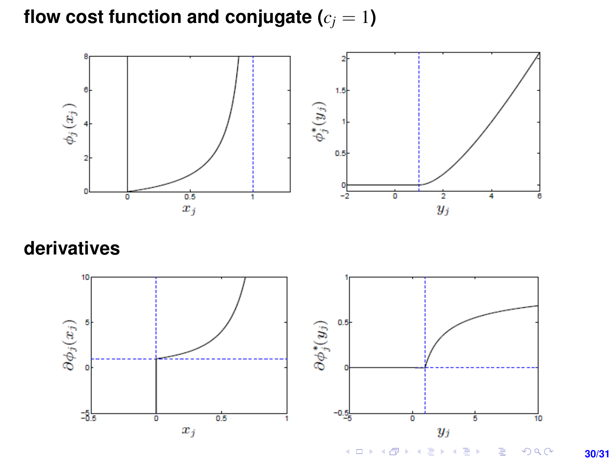flow cost function and conjugate  $(c_j = 1)$ 



#### **derivatives**



**30/31**